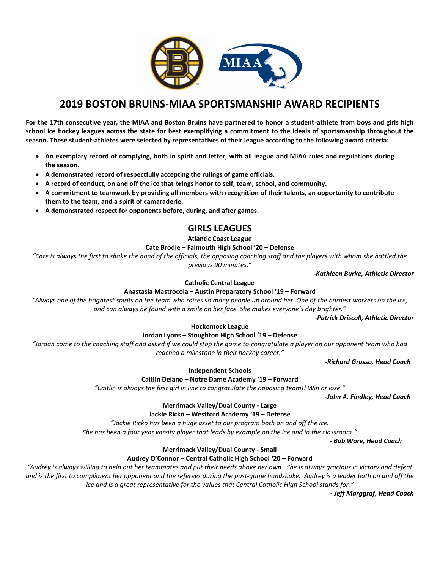

# **2019 BOSTON BRUINS-MIAA SPORTSMANSHIP AWARD RECIPIENTS**

**For the 17th consecutive year, the MIAA and Boston Bruins have partnered to honor a student-athlete from boys and girls high school ice hockey leagues across the state for best exemplifying a commitment to the ideals of sportsmanship throughout the season. These student-athletes were selected by representatives of their league according to the following award criteria:** 

- **An exemplary record of complying, both in spirit and letter, with all league and MIAA rules and regulations during the season.**
- **A demonstrated record of respectfully accepting the rulings of game officials.**
- **A record of conduct, on and off the ice that brings honor to self, team, school, and community.**
- **A commitment to teamwork by providing all members with recognition of their talents, an opportunity to contribute them to the team, and a spirit of camaraderie.**
- **A demonstrated respect for opponents before, during, and after games.**

# **GIRLS LEAGUES**

**Atlantic Coast League**

# **Cate Brodie – Falmouth High School '20 – Defense**

*"Cate is always the first to shake the hand of the officials, the opposing coaching staff and the players with whom she battled the previous 90 minutes."*

*-Kathleen Burke, Athletic Director*

# **Catholic Central League**

**Anastasia Mastrocola – Austin Preparatory School '19 – Forward**

*"Always one of the brightest spirits on the team who raises so many people up around her. One of the hardest workers on the ice, and can always be found with a smile on her face. She makes everyone's day brighter."*

*-Patrick Driscoll, Athletic Director*

## **Hockomock League**

# **Jordan Lyons – Stoughton High School '19 – Defense**

*"Jordan came to the coaching staff and asked if we could stop the game to congratulate a player on our opponent team who had reached a milestone in their hockey career."*

*-Richard Grasso, Head Coach*

**Independent Schools**

# **Caitlin Delano – Notre Dame Academy '19 – Forward**

*"Caitlin is always the first girl in line to congratulate the opposing team!! Win or lose."*

*-John A. Findley, Head Coach*

# **Merrimack Valley/Dual County - Large**

## **Jackie Ricko – Westford Academy '19 – Defense**

*"Jackie Ricko has been a huge asset to our program both on and off the ice.*

*She has been a four year varsity player that leads by example on the ice and in the classroom."*

 *- Bob Ware, Head Coach*

## **Merrimack Valley/Dual County - Small**

# **Audrey O'Connor – Central Catholic High School '20 – Forward**

*"Audrey is always willing to help out her teammates and put their needs above her own. She is always gracious in victory and defeat and is the first to compliment her opponent and the referees during the post-game handshake. Audrey is a leader both on and off the ice and is a great representative for the values that Central Catholic High School stands for."*

 *- Jeff Marggraf, Head Coach*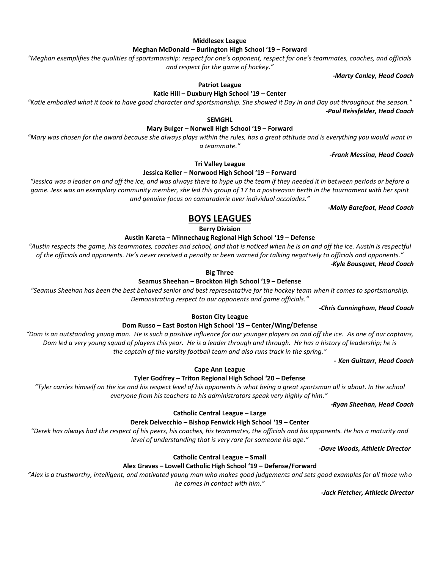#### **Middlesex League**

#### **Meghan McDonald – Burlington High School '19 – Forward**

*"Meghan exemplifies the qualities of sportsmanship: respect for one's opponent, respect for one's teammates, coaches, and officials and respect for the game of hockey."*

*-Marty Conley, Head Coach*

#### **Patriot League**

#### **Katie Hill – Duxbury High School '19 – Center**

*"Katie embodied what it took to have good character and sportsmanship. She showed it Day in and Day out throughout the season." -Paul Reissfelder, Head Coach*

**SEMGHL**

## **Mary Bulger – Norwell High School '19 – Forward**

*"Mary was chosen for the award because she always plays within the rules, has a great attitude and is everything you would want in a teammate."*

*-Frank Messina, Head Coach*

**Tri Valley League**

#### **Jessica Keller – Norwood High School '19 – Forward**

*"Jessica was a leader on and off the ice, and was always there to hype up the team if they needed it in between periods or before a game. Jess was an exemplary community member, she led this group of 17 to a postseason berth in the tournament with her spirit and genuine focus on camaraderie over individual accolades."*

*-Molly Barefoot, Head Coach*

# **BOYS LEAGUES**

**Berry Division**

#### **Austin Kareta – Minnechaug Regional High School '19 – Defense**

*"Austin respects the game, his teammates, coaches and school, and that is noticed when he is on and off the ice. Austin is respectful of the officials and opponents. He's never received a penalty or been warned for talking negatively to officials and opponents."*

*-Kyle Bousquet, Head Coach*

#### **Big Three**

#### **Seamus Sheehan – Brockton High School '19 – Defense**

*"Seamus Sheehan has been the best behaved senior and best representative for the hockey team when it comes to sportsmanship. Demonstrating respect to our opponents and game officials."*

*-Chris Cunningham, Head Coach*

#### **Boston City League**

### **Dom Russo – East Boston High School '19 – Center/Wing/Defense**

*"Dom is an outstanding young man. He is such a positive influence for our younger players on and off the ice. As one of our captains, Dom led a very young squad of players this year. He is a leader through and through. He has a history of leadership; he is the captain of the varsity football team and also runs track in the spring."*

*- Ken Guittarr, Head Coach*

**Cape Ann League**

## **Tyler Godfrey – Triton Regional High School '20 – Defense**

*"Tyler carries himself on the ice and his respect level of his opponents is what being a great sportsman all is about. In the school everyone from his teachers to his administrators speak very highly of him."*

*-Ryan Sheehan, Head Coach*

#### **Catholic Central League – Large**

#### **Derek Delvecchio – Bishop Fenwick High School '19 – Center**

*"Derek has always had the respect of his peers, his coaches, his teammates, the officials and his opponents. He has a maturity and level of understanding that is very rare for someone his age."*

*-Dave Woods, Athletic Director*

#### **Catholic Central League – Small**

#### **Alex Graves – Lowell Catholic High School '19 – Defense/Forward**

*"Alex is a trustworthy, intelligent, and motivated young man who makes good judgements and sets good examples for all those who he comes in contact with him."*

*-Jack Fletcher, Athletic Director*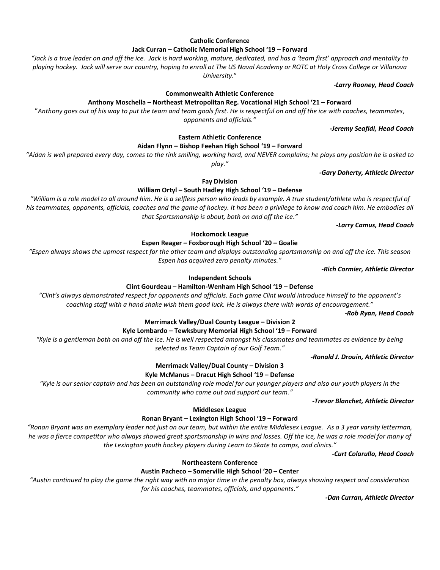# **Catholic Conference Jack Curran – Catholic Memorial High School '19 – Forward**

*"Jack is a true leader on and off the ice. Jack is hard working, mature, dedicated, and has a 'team first' approach and mentality to playing hockey. Jack will serve our country, hoping to enroll at The US Naval Academy or ROTC at Holy Cross College or Villanova University*."

**Commonwealth Athletic Conference**

**Anthony Moschella – Northeast Metropolitan Reg. Vocational High School '21 – Forward**

"*Anthony goes out of his way to put the team and team goals first. He is respectful on and off the ice with coaches, teammates, opponents and officials."*

*-Jeremy Seafidi, Head Coach*

*-Larry Rooney, Head Coach*

**Eastern Athletic Conference**

**Aidan Flynn – Bishop Feehan High School '19 – Forward**

*"Aidan is well prepared every day, comes to the rink smiling, working hard, and NEVER complains; he plays any position he is asked to* 

*play."*

*-Gary Doherty, Athletic Director*

**Fay Division William Ortyl – South Hadley High School '19 – Defense**

*"William is a role model to all around him. He is a selfless person who leads by example. A true student/athlete who is respectful of his teammates, opponents, officials, coaches and the game of hockey. It has been a privilege to know and coach him. He embodies all that Sportsmanship is about, both on and off the ice."*

*-Larry Camus, Head Coach*

**Hockomock League**

**Espen Reager – Foxborough High School '20 – Goalie**

*"Espen always shows the upmost respect for the other team and displays outstanding sportsmanship on and off the ice. This season Espen has acquired zero penalty minutes."* 

*-Rich Cormier, Athletic Director*

## **Independent Schools**

# **Clint Gourdeau – Hamilton-Wenham High School '19 – Defense**

*"Clint's always demonstrated respect for opponents and officials. Each game Clint would introduce himself to the opponent's coaching staff with a hand shake wish them good luck. He is always there with words of encouragement."* 

*-Rob Ryan, Head Coach*

# **Merrimack Valley/Dual County League – Division 2**

# **Kyle Lombardo – Tewksbury Memorial High School '19 – Forward**

*"Kyle is a gentleman both on and off the ice. He is well respected amongst his classmates and teammates as evidence by being selected as Team Captain of our Golf Team."*

 *-Ronald J. Drouin, Athletic Director*

# **Merrimack Valley/Dual County – Division 3**

**Kyle McManus – Dracut High School '19 – Defense**

*"Kyle is our senior captain and has been an outstanding role model for our younger players and also our youth players in the community who come out and support our team."*

*-Trevor Blanchet, Athletic Director*

## **Middlesex League**

## **Ronan Bryant – Lexington High School '19 – Forward**

*"Ronan Bryant was an exemplary leader not just on our team, but within the entire Middlesex League. As a 3 year varsity letterman, he was a fierce competitor who always showed great sportsmanship in wins and losses. Off the ice, he was a role model for many of the Lexington youth hockey players during Learn to Skate to camps, and clinics."*

*-Curt Colarullo, Head Coach*

## **Northeastern Conference**

## **Austin Pacheco – Somerville High School '20 – Center**

*"Austin continued to play the game the right way with no major time in the penalty box, always showing respect and consideration for his coaches, teammates, officials, and opponents."*

*-Dan Curran, Athletic Director*